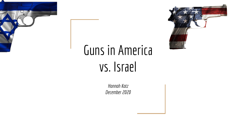

# Guns in America vs. Israel

*Hannah Katz December 2020*

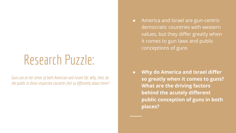### Research Puzzle:

*Guns are at the center of both American and Israeli life. Why, then, do the public in these respective countries feel so differently about them?* ● America and Israel are gun-centric democratic countries with western values, but they differ greatly when it comes to gun laws and public conceptions of guns

**● Why do America and Israel differ so greatly when it comes to guns? What are the driving factors behind the acutely different public conception of guns in both places?**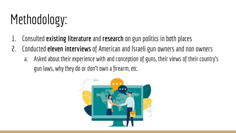# Methodology:

- 1. Consulted **existing literature** and **research** on gun politics in both places
- 2. Conducted **eleven interviews** of American and Israeli gun owners and non owners
	- a. Asked about their experience with and conception of guns, their views of their country's gun laws, why they do or don't own a firearm, etc.

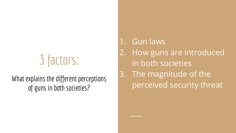# 3 factors:

#### What explains the different perceptions of guns in both societies?

1. Gun laws 2. How guns are introduced in both societies 3. The magnitude of the perceived security threat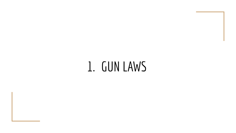### 1. GUN LAWS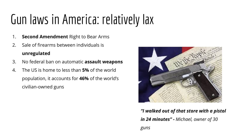# Gun laws in America: relatively lax

- 1. **Second Amendment** Right to Bear Arms
- 2. Sale of firearms between individuals is **unregulated**
- 3. No federal ban on automatic **assault weapons**
- 4. The US is home to less than **5%** of the world population, it accounts for **46%** of the world's civilian-owned guns



*"I walked out of that store with a pistol in 24 minutes" - Michael, owner of 30*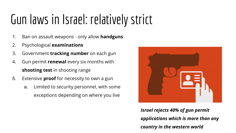# Gun laws in Israel: relatively strict

- 1. Ban on assault weapons only allow **handguns**
- 2. Psychological **examinations**
- 3. Government **tracking number** on each gun
- 4. Gun permit **renewal** every six months with **shooting test** in shooting range
- 5. Extensive **proof** for necessity to own a gun
	- a. Limited to security personnel, with some exceptions depending on where you live



*Israel rejects 40% of gun permit applications which is more than any country in the western world*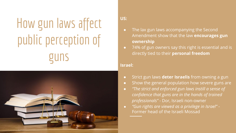# How gun laws affect public perception of guns



#### **US:**

- The lax gun laws accompanying the Second Amendment show that the law **encourages gun ownership**
- 74% of gun owners say this right is essential and is directly tied to their **personal freedom**

#### **Israel:**

- Strict gun laws **deter Israelis** from owning a gun
- Show the general population how severe guns are
- *"The strict and enforced gun laws instill a sense of confidence that guns are in the hands of trained professionals"* - Dor, Israeli non-owner
- *"Gun rights are viewed as a privilege in Israel"*  Former head of the Israeli Mossad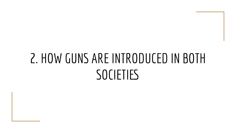### 2. HOW GUNS ARE INTRODUCED IN BOTH **SOCIETIES**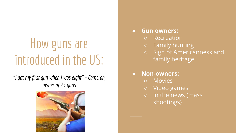## How guns are introduced in the US:

*"I got my first gun when I was eight" - Cameron, owner of 25 guns*



#### **● Gun owners:**

- Recreation
- Family hunting
- Sign of Americanness and family heritage

#### ● **Non-owners:**

- Movies
- Video games
- In the news (mass shootings)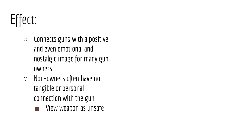# Effect:

- $\circ$  Connects guns with a positive and even emotional and nostalgic image for many gun owners
- Non-owners often have no tangible or personal connection with the gun
	- View weapon as unsafe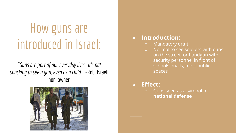### How guns are introduced in Israel:

*"Guns are part of our everyday lives. It's not shocking to see a gun, even as a child."* -Rob, Israeli non-owner



#### **● Introduction:**

- **○** Mandatory draft
- Normal to see soldiers with guns on the street, or handgun with security personnel in front of schools, malls, most public spaces
- **● Effect:** 
	- Guns seen as a symbol of **national defense**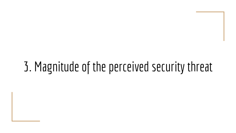### 3. Magnitude of the perceived security threat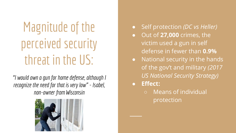# Magnitude of the perceived security threat in the US:

*"I would own a gun for home defense, although I recognize the need for that is very low" - Isabel, non-owner from Wisconsin*



- Self protection *(DC vs Heller)*
- Out of **27,000** crimes, the victim used a gun in self defense in fewer than **0.9%**
- National security in the hands of the gov't and military *(2017 US National Security Strategy)*
- **Effect:** 
	- Means of individual protection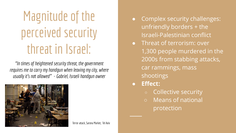# Magnitude of the perceived security threat in Israel:

*"In times of heightened security threat, the government requires me to carry my handgun when leaving my city, where usually it's not allowed" - Gabriel, Israeli handgun owner*



Terror attack, Sarona Market, Tel Aviv

- Complex security challenges: unfriendly borders + the Israeli-Palestinian conflict
- Threat of terrorism: over 1,300 people murdered in the 2000s from stabbing attacks, car rammings, mass shootings
- **● Effect:** 
	- Collective security
	- Means of national protection